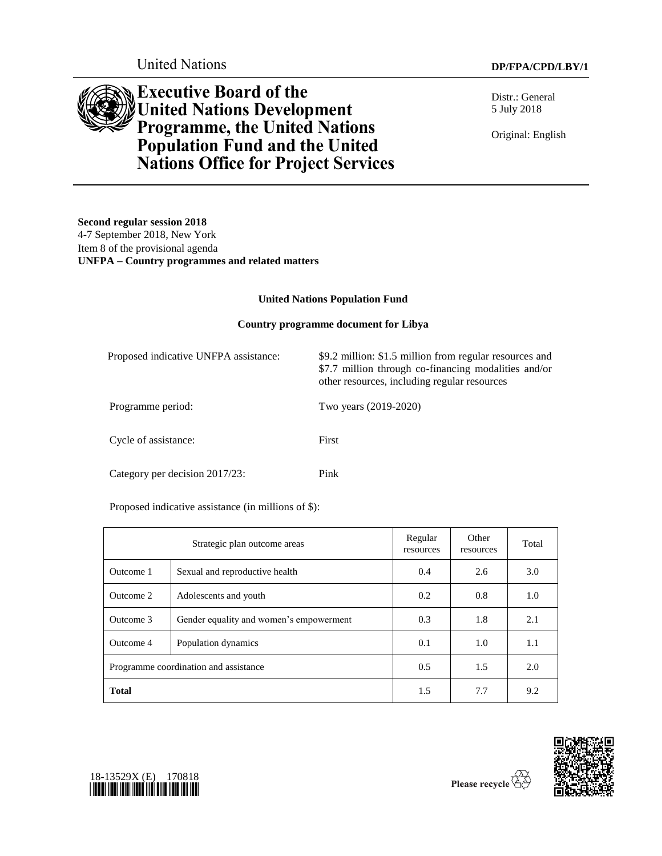

# **Executive Board of the United Nations Development Programme, the United Nations Population Fund and the United Nations Office for Project Services**

Distr.: General 5 July 2018

Original: English

**Second regular session 2018** 4-7 September 2018, New York Item 8 of the provisional agenda **UNFPA – Country programmes and related matters**

#### **United Nations Population Fund**

#### **Country programme document for Libya**

| Proposed indicative UNFPA assistance: | \$9.2 million: \$1.5 million from regular resources and<br>\$7.7 million through co-financing modalities and/or<br>other resources, including regular resources |
|---------------------------------------|-----------------------------------------------------------------------------------------------------------------------------------------------------------------|
| Programme period:                     | Two years (2019-2020)                                                                                                                                           |
| Cycle of assistance:                  | First                                                                                                                                                           |
| Category per decision 2017/23:        | Pink                                                                                                                                                            |

Proposed indicative assistance (in millions of \$):

| Strategic plan outcome areas          |                                         | Regular<br>resources | Other<br>resources | Total |
|---------------------------------------|-----------------------------------------|----------------------|--------------------|-------|
| Outcome 1                             | Sexual and reproductive health          | 0.4                  | 2.6                | 3.0   |
| Outcome 2                             | Adolescents and youth                   | 0.2                  | 0.8                | 1.0   |
| Outcome 3                             | Gender equality and women's empowerment | 0.3                  | 1.8                | 2.1   |
| Outcome 4                             | Population dynamics                     | 0.1                  | 1.0                | 1.1   |
| Programme coordination and assistance |                                         | 0.5                  | 1.5                | 2.0   |
| <b>Total</b>                          |                                         | 1.5                  | 7.7                | 9.2   |





Please recycle  $\overline{\mathbf{r}}$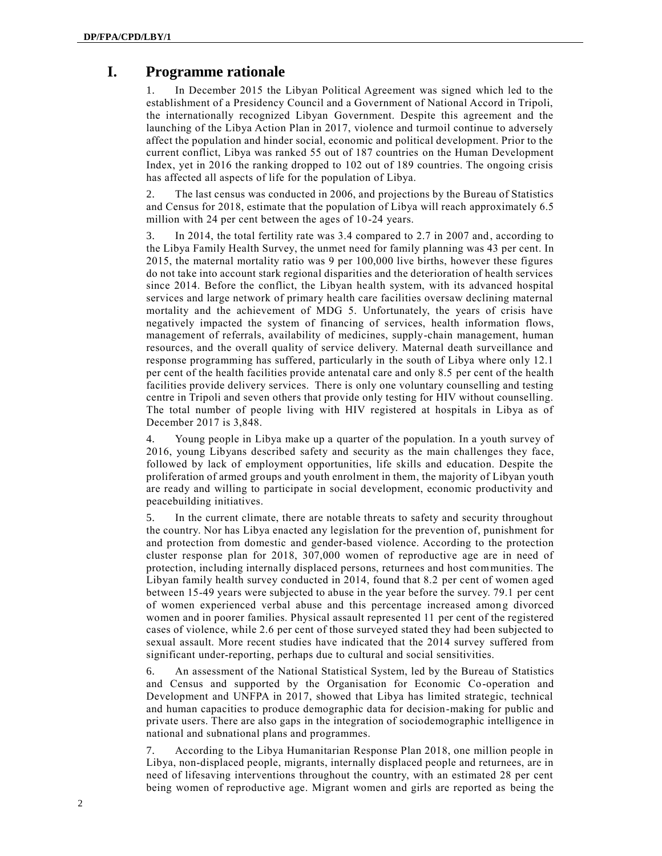# **I. Programme rationale**

1. In December 2015 the Libyan Political Agreement was signed which led to the establishment of a Presidency Council and a Government of National Accord in Tripoli, the internationally recognized Libyan Government. Despite this agreement and the launching of the Libya Action Plan in 2017, violence and turmoil continue to adversely affect the population and hinder social, economic and political development. Prior to the current conflict, Libya was ranked 55 out of 187 countries on the Human Development Index, yet in 2016 the ranking dropped to 102 out of 189 countries. The ongoing crisis has affected all aspects of life for the population of Libya.

2. The last census was conducted in 2006, and projections by the Bureau of Statistics and Census for 2018, estimate that the population of Libya will reach approximately 6.5 million with 24 per cent between the ages of 10-24 years.

3. In 2014, the total fertility rate was 3.4 compared to 2.7 in 2007 and, according to the Libya Family Health Survey, the unmet need for family planning was 43 per cent. In 2015, the maternal mortality ratio was 9 per 100,000 live births, however these figures do not take into account stark regional disparities and the deterioration of health services since 2014. Before the conflict, the Libyan health system, with its advanced hospital services and large network of primary health care facilities oversaw declining maternal mortality and the achievement of MDG 5. Unfortunately, the years of crisis have negatively impacted the system of financing of services, health information flows, management of referrals, availability of medicines, supply-chain management, human resources, and the overall quality of service delivery. Maternal death surveillance and response programming has suffered, particularly in the south of Libya where only 12.1 per cent of the health facilities provide antenatal care and only 8.5 per cent of the health facilities provide delivery services. There is only one voluntary counselling and testing centre in Tripoli and seven others that provide only testing for HIV without counselling. The total number of people living with HIV registered at hospitals in Libya as of December 2017 is 3,848.

4. Young people in Libya make up a quarter of the population. In a youth survey of 2016, young Libyans described safety and security as the main challenges they face, followed by lack of employment opportunities, life skills and education. Despite the proliferation of armed groups and youth enrolment in them, the majority of Libyan youth are ready and willing to participate in social development, economic productivity and peacebuilding initiatives.

5. In the current climate, there are notable threats to safety and security throughout the country. Nor has Libya enacted any legislation for the prevention of, punishment for and protection from domestic and gender-based violence. According to the protection cluster response plan for 2018, 307,000 women of reproductive age are in need of protection, including internally displaced persons, returnees and host communities. The Libyan family health survey conducted in 2014, found that 8.2 per cent of women aged between 15-49 years were subjected to abuse in the year before the survey. 79.1 per cent of women experienced verbal abuse and this percentage increased among divorced women and in poorer families. Physical assault represented 11 per cent of the registered cases of violence, while 2.6 per cent of those surveyed stated they had been subjected to sexual assault. More recent studies have indicated that the 2014 survey suffered from significant under-reporting, perhaps due to cultural and social sensitivities.

6. An assessment of the National Statistical System, led by the Bureau of Statistics and Census and supported by the Organisation for Economic Co-operation and Development and UNFPA in 2017, showed that Libya has limited strategic, technical and human capacities to produce demographic data for decision-making for public and private users. There are also gaps in the integration of sociodemographic intelligence in national and subnational plans and programmes.

7. According to the Libya Humanitarian Response Plan 2018, one million people in Libya, non-displaced people, migrants, internally displaced people and returnees, are in need of lifesaving interventions throughout the country, with an estimated 28 per cent being women of reproductive age. Migrant women and girls are reported as being the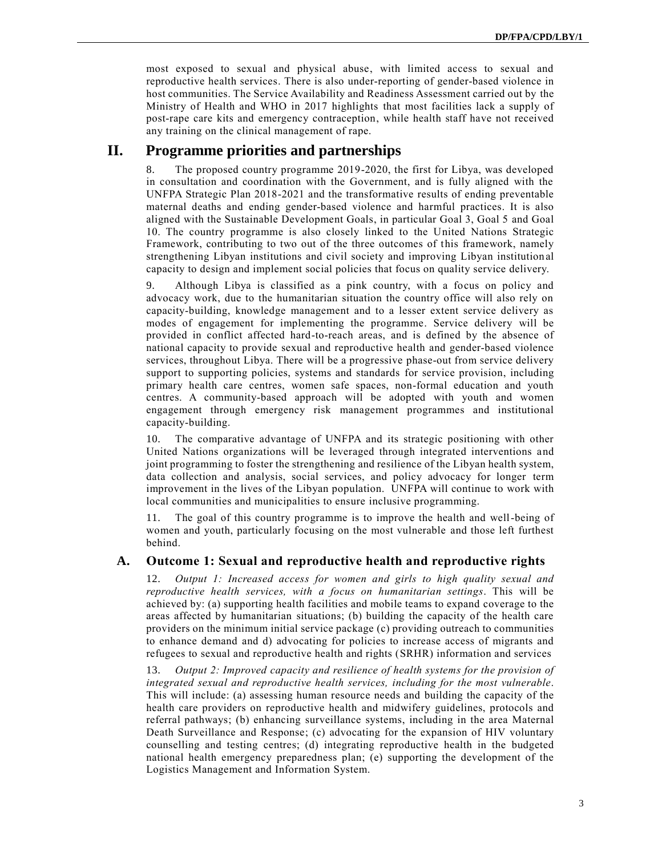most exposed to sexual and physical abuse, with limited access to sexual and reproductive health services. There is also under-reporting of gender-based violence in host communities. The Service Availability and Readiness Assessment carried out by the Ministry of Health and WHO in 2017 highlights that most facilities lack a supply of post-rape care kits and emergency contraception, while health staff have not received any training on the clinical management of rape.

# **II. Programme priorities and partnerships**

8. The proposed country programme 2019-2020, the first for Libya, was developed in consultation and coordination with the Government, and is fully aligned with the UNFPA Strategic Plan 2018-2021 and the transformative results of ending preventable maternal deaths and ending gender-based violence and harmful practices. It is also aligned with the Sustainable Development Goals, in particular Goal 3, Goal 5 and Goal 10. The country programme is also closely linked to the United Nations Strategic Framework, contributing to two out of the three outcomes of this framework, namely strengthening Libyan institutions and civil society and improving Libyan institution al capacity to design and implement social policies that focus on quality service delivery.

9. Although Libya is classified as a pink country, with a focus on policy and advocacy work, due to the humanitarian situation the country office will also rely on capacity-building, knowledge management and to a lesser extent service delivery as modes of engagement for implementing the programme. Service delivery will be provided in conflict affected hard-to-reach areas, and is defined by the absence of national capacity to provide sexual and reproductive health and gender-based violence services, throughout Libya. There will be a progressive phase-out from service delivery support to supporting policies, systems and standards for service provision, including primary health care centres, women safe spaces, non-formal education and youth centres. A community-based approach will be adopted with youth and women engagement through emergency risk management programmes and institutional capacity-building.

10. The comparative advantage of UNFPA and its strategic positioning with other United Nations organizations will be leveraged through integrated interventions and joint programming to foster the strengthening and resilience of the Libyan health system, data collection and analysis, social services, and policy advocacy for longer term improvement in the lives of the Libyan population. UNFPA will continue to work with local communities and municipalities to ensure inclusive programming.

11. The goal of this country programme is to improve the health and well-being of women and youth, particularly focusing on the most vulnerable and those left furthest behind.

#### **A. Outcome 1: Sexual and reproductive health and reproductive rights**

12. *Output 1: Increased access for women and girls to high quality sexual and reproductive health services, with a focus on humanitarian settings*. This will be achieved by: (a) supporting health facilities and mobile teams to expand coverage to the areas affected by humanitarian situations; (b) building the capacity of the health care providers on the minimum initial service package (c) providing outreach to communities to enhance demand and d) advocating for policies to increase access of migrants and refugees to sexual and reproductive health and rights (SRHR) information and services

13. *Output 2: Improved capacity and resilience of health systems for the provision of integrated sexual and reproductive health services, including for the most vulnerable*. This will include: (a) assessing human resource needs and building the capacity of the health care providers on reproductive health and midwifery guidelines, protocols and referral pathways; (b) enhancing surveillance systems, including in the area Maternal Death Surveillance and Response; (c) advocating for the expansion of HIV voluntary counselling and testing centres; (d) integrating reproductive health in the budgeted national health emergency preparedness plan; (e) supporting the development of the Logistics Management and Information System.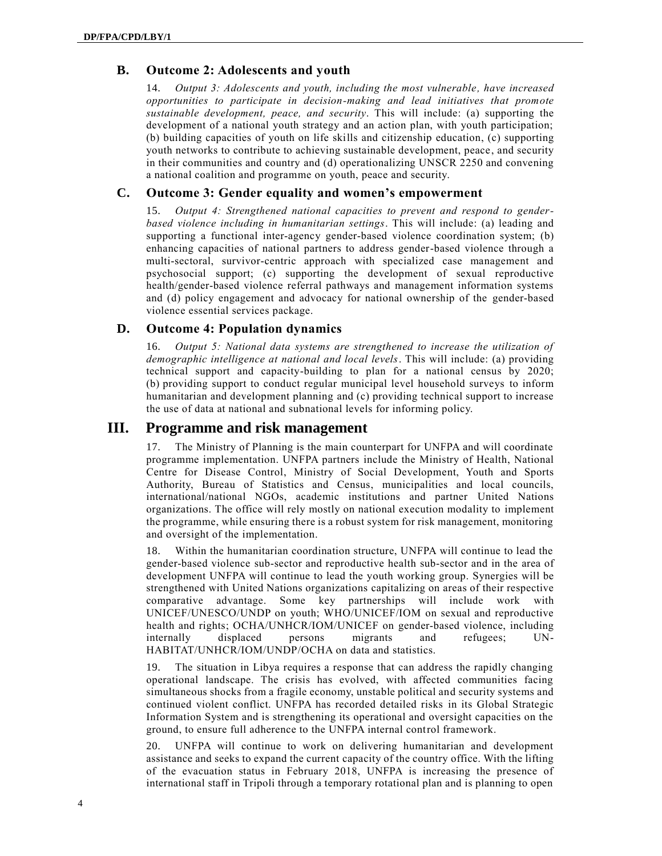#### **B. Outcome 2: Adolescents and youth**

14. *Output 3: Adolescents and youth, including the most vulnerable, have increased opportunities to participate in decision-making and lead initiatives that promote sustainable development, peace, and security*. This will include: (a) supporting the development of a national youth strategy and an action plan, with youth participation; (b) building capacities of youth on life skills and citizenship education, (c) supporting youth networks to contribute to achieving sustainable development, peace, and security in their communities and country and (d) operationalizing UNSCR 2250 and convening a national coalition and programme on youth, peace and security.

#### **C. Outcome 3: Gender equality and women's empowerment**

15. *Output 4: Strengthened national capacities to prevent and respond to genderbased violence including in humanitarian settings*. This will include: (a) leading and supporting a functional inter-agency gender-based violence coordination system; (b) enhancing capacities of national partners to address gender-based violence through a multi-sectoral, survivor-centric approach with specialized case management and psychosocial support; (c) supporting the development of sexual reproductive health/gender-based violence referral pathways and management information systems and (d) policy engagement and advocacy for national ownership of the gender-based violence essential services package.

#### **D. Outcome 4: Population dynamics**

16. *Output 5: National data systems are strengthened to increase the utilization of demographic intelligence at national and local levels*. This will include: (a) providing technical support and capacity-building to plan for a national census by 2020; (b) providing support to conduct regular municipal level household surveys to inform humanitarian and development planning and (c) providing technical support to increase the use of data at national and subnational levels for informing policy.

## **III. Programme and risk management**

17. The Ministry of Planning is the main counterpart for UNFPA and will coordinate programme implementation. UNFPA partners include the Ministry of Health, National Centre for Disease Control, Ministry of Social Development, Youth and Sports Authority, Bureau of Statistics and Census, municipalities and local councils, international/national NGOs, academic institutions and partner United Nations organizations. The office will rely mostly on national execution modality to implement the programme, while ensuring there is a robust system for risk management, monitoring and oversight of the implementation.

18. Within the humanitarian coordination structure, UNFPA will continue to lead the gender-based violence sub-sector and reproductive health sub-sector and in the area of development UNFPA will continue to lead the youth working group. Synergies will be strengthened with United Nations organizations capitalizing on areas of their respective comparative advantage. Some key partnerships will include work with UNICEF/UNESCO/UNDP on youth; WHO/UNICEF/IOM on sexual and reproductive health and rights; OCHA/UNHCR/IOM/UNICEF on gender-based violence, including internally displaced persons migrants and refugees; UN-HABITAT/UNHCR/IOM/UNDP/OCHA on data and statistics.

19. The situation in Libya requires a response that can address the rapidly changing operational landscape. The crisis has evolved, with affected communities facing simultaneous shocks from a fragile economy, unstable political and security systems and continued violent conflict. UNFPA has recorded detailed risks in its Global Strategic Information System and is strengthening its operational and oversight capacities on the ground, to ensure full adherence to the UNFPA internal control framework.

20. UNFPA will continue to work on delivering humanitarian and development assistance and seeks to expand the current capacity of the country office. With the lifting of the evacuation status in February 2018, UNFPA is increasing the presence of international staff in Tripoli through a temporary rotational plan and is planning to open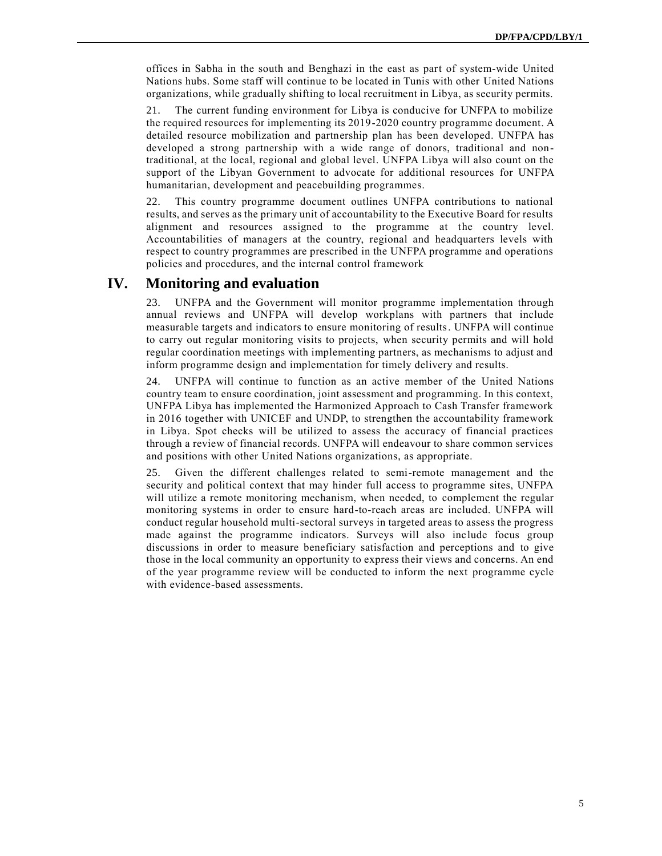offices in Sabha in the south and Benghazi in the east as part of system-wide United Nations hubs. Some staff will continue to be located in Tunis with other United Nations organizations, while gradually shifting to local recruitment in Libya, as security permits.

21. The current funding environment for Libya is conducive for UNFPA to mobilize the required resources for implementing its 2019-2020 country programme document. A detailed resource mobilization and partnership plan has been developed. UNFPA has developed a strong partnership with a wide range of donors, traditional and nontraditional, at the local, regional and global level. UNFPA Libya will also count on the support of the Libyan Government to advocate for additional resources for UNFPA humanitarian, development and peacebuilding programmes.

22. This country programme document outlines UNFPA contributions to national results, and serves as the primary unit of accountability to the Executive Board for results alignment and resources assigned to the programme at the country level. Accountabilities of managers at the country, regional and headquarters levels with respect to country programmes are prescribed in the UNFPA programme and operations policies and procedures, and the internal control framework

## **IV. Monitoring and evaluation**

23. UNFPA and the Government will monitor programme implementation through annual reviews and UNFPA will develop workplans with partners that include measurable targets and indicators to ensure monitoring of results. UNFPA will continue to carry out regular monitoring visits to projects, when security permits and will hold regular coordination meetings with implementing partners, as mechanisms to adjust and inform programme design and implementation for timely delivery and results.

24. UNFPA will continue to function as an active member of the United Nations country team to ensure coordination, joint assessment and programming. In this context, UNFPA Libya has implemented the Harmonized Approach to Cash Transfer framework in 2016 together with UNICEF and UNDP, to strengthen the accountability framework in Libya. Spot checks will be utilized to assess the accuracy of financial practices through a review of financial records. UNFPA will endeavour to share common services and positions with other United Nations organizations, as appropriate.

25. Given the different challenges related to semi-remote management and the security and political context that may hinder full access to programme sites, UNFPA will utilize a remote monitoring mechanism, when needed, to complement the regular monitoring systems in order to ensure hard-to-reach areas are included. UNFPA will conduct regular household multi-sectoral surveys in targeted areas to assess the progress made against the programme indicators. Surveys will also include focus group discussions in order to measure beneficiary satisfaction and perceptions and to give those in the local community an opportunity to express their views and concerns. An end of the year programme review will be conducted to inform the next programme cycle with evidence-based assessments.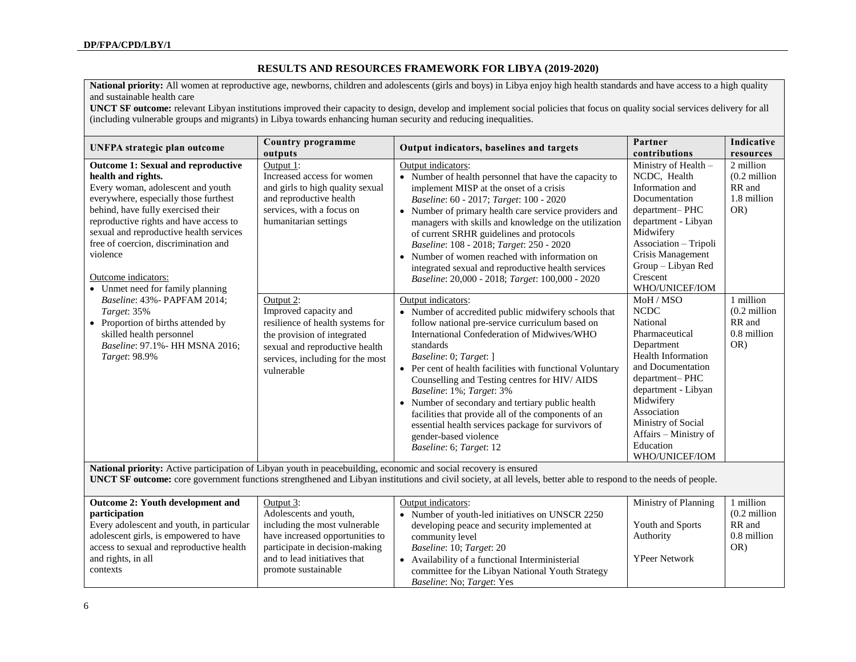### **RESULTS AND RESOURCES FRAMEWORK FOR LIBYA (2019-2020)**

**National priority:** All women at reproductive age, newborns, children and adolescents (girls and boys) in Libya enjoy high health standards and have access to a high quality and sustainable health care

**UNCT SF outcome:** relevant Libyan institutions improved their capacity to design, develop and implement social policies that focus on quality social services delivery for all (including vulnerable groups and migrants) in Libya towards enhancing human security and reducing inequalities.

| UNFPA strategic plan outcome                                                                                                                                                                                                                                                                                                                                                                                                                                                                                                                                 | Country programme<br>outputs                                                                                                                                                                                                                                                                                                                              | Output indicators, baselines and targets                                                                                                                                                                                                                                                                                                                                                                                                                                                                                                                                                                                                                                                                                                                                                                                                                                                                                                                                                                                                                                                                                    | Partner<br>contributions                                                                                                                                                                                                                                                                                                                                                                                                                                                                               | Indicative<br>resources                                                                                                                      |
|--------------------------------------------------------------------------------------------------------------------------------------------------------------------------------------------------------------------------------------------------------------------------------------------------------------------------------------------------------------------------------------------------------------------------------------------------------------------------------------------------------------------------------------------------------------|-----------------------------------------------------------------------------------------------------------------------------------------------------------------------------------------------------------------------------------------------------------------------------------------------------------------------------------------------------------|-----------------------------------------------------------------------------------------------------------------------------------------------------------------------------------------------------------------------------------------------------------------------------------------------------------------------------------------------------------------------------------------------------------------------------------------------------------------------------------------------------------------------------------------------------------------------------------------------------------------------------------------------------------------------------------------------------------------------------------------------------------------------------------------------------------------------------------------------------------------------------------------------------------------------------------------------------------------------------------------------------------------------------------------------------------------------------------------------------------------------------|--------------------------------------------------------------------------------------------------------------------------------------------------------------------------------------------------------------------------------------------------------------------------------------------------------------------------------------------------------------------------------------------------------------------------------------------------------------------------------------------------------|----------------------------------------------------------------------------------------------------------------------------------------------|
| <b>Outcome 1: Sexual and reproductive</b><br>health and rights.<br>Every woman, adolescent and youth<br>everywhere, especially those furthest<br>behind, have fully exercised their<br>reproductive rights and have access to<br>sexual and reproductive health services<br>free of coercion, discrimination and<br>violence<br>Outcome indicators:<br>• Unmet need for family planning<br>Baseline: 43% - PAPFAM 2014;<br>Target: 35%<br>• Proportion of births attended by<br>skilled health personnel<br>Baseline: 97.1% - HH MSNA 2016;<br>Target: 98.9% | Output 1:<br>Increased access for women<br>and girls to high quality sexual<br>and reproductive health<br>services, with a focus on<br>humanitarian settings<br>Output 2:<br>Improved capacity and<br>resilience of health systems for<br>the provision of integrated<br>sexual and reproductive health<br>services, including for the most<br>vulnerable | Output indicators:<br>• Number of health personnel that have the capacity to<br>implement MISP at the onset of a crisis<br>Baseline: 60 - 2017; Target: 100 - 2020<br>• Number of primary health care service providers and<br>managers with skills and knowledge on the utilization<br>of current SRHR guidelines and protocols<br>Baseline: 108 - 2018; Target: 250 - 2020<br>• Number of women reached with information on<br>integrated sexual and reproductive health services<br>Baseline: 20,000 - 2018; Target: 100,000 - 2020<br>Output indicators:<br>• Number of accredited public midwifery schools that<br>follow national pre-service curriculum based on<br>International Confederation of Midwives/WHO<br>standards<br>Baseline: 0; Target: ]<br>• Per cent of health facilities with functional Voluntary<br>Counselling and Testing centres for HIV/AIDS<br>Baseline: 1%; Target: 3%<br>• Number of secondary and tertiary public health<br>facilities that provide all of the components of an<br>essential health services package for survivors of<br>gender-based violence<br>Baseline: 6; Target: 12 | Ministry of Health -<br>NCDC, Health<br>Information and<br>Documentation<br>department-PHC<br>department - Libyan<br>Midwifery<br>Association - Tripoli<br>Crisis Management<br>Group - Libyan Red<br>Crescent<br>WHO/UNICEF/IOM<br>MoH / MSO<br><b>NCDC</b><br>National<br>Pharmaceutical<br>Department<br>Health Information<br>and Documentation<br>department-PHC<br>department - Libyan<br>Midwifery<br>Association<br>Ministry of Social<br>Affairs - Ministry of<br>Education<br>WHO/UNICEF/IOM | 2 million<br>$(0.2 \text{ million})$<br>RR and<br>1.8 million<br>OR)<br>1 million<br>$(0.2 \text{ million})$<br>RR and<br>0.8 million<br>OR) |
| National priority: Active participation of Libyan youth in peacebuilding, economic and social recovery is ensured<br><b>UNCT SF outcome:</b> core government functions strengthened and Libyan institutions and civil society, at all levels, better able to respond to the needs of people.                                                                                                                                                                                                                                                                 |                                                                                                                                                                                                                                                                                                                                                           |                                                                                                                                                                                                                                                                                                                                                                                                                                                                                                                                                                                                                                                                                                                                                                                                                                                                                                                                                                                                                                                                                                                             |                                                                                                                                                                                                                                                                                                                                                                                                                                                                                                        |                                                                                                                                              |
| <b>Outcome 2: Youth development and</b>                                                                                                                                                                                                                                                                                                                                                                                                                                                                                                                      | Output 3:                                                                                                                                                                                                                                                                                                                                                 | Output indicators:                                                                                                                                                                                                                                                                                                                                                                                                                                                                                                                                                                                                                                                                                                                                                                                                                                                                                                                                                                                                                                                                                                          | Ministry of Planning                                                                                                                                                                                                                                                                                                                                                                                                                                                                                   | million                                                                                                                                      |

| <b>Outcome 2: Youth development and</b>   | Output 3:                       | Output indicators:                               | Ministry of Planning | million                 |
|-------------------------------------------|---------------------------------|--------------------------------------------------|----------------------|-------------------------|
| participation                             | Adolescents and youth,          | Number of youth-led initiatives on UNSCR 2250    |                      | $(0.2 \text{ million})$ |
| Every adolescent and youth, in particular | including the most vulnerable   | developing peace and security implemented at     | Youth and Sports     | RR and                  |
| adolescent girls, is empowered to have    | have increased opportunities to | community level                                  | Authority            | 0.8 million             |
| access to sexual and reproductive health  | participate in decision-making  | <i>Baseline: 10; Target: 20</i>                  |                      | OR)                     |
| and rights, in all                        | and to lead initiatives that    | Availability of a functional Interministerial    | <b>YPeer Network</b> |                         |
| contexts                                  | promote sustainable             | committee for the Libyan National Youth Strategy |                      |                         |
|                                           |                                 | <i>Baseline: No: Target: Yes</i>                 |                      |                         |